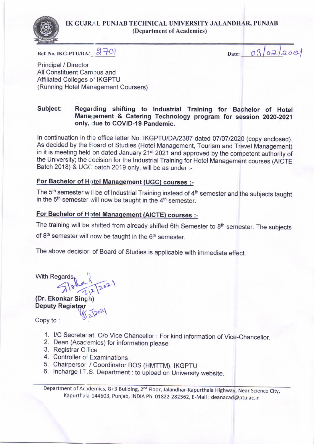## IK GUJRAL PUNJAB TECHNICAL UNIVERSITY JALANDHAR, PUNJAB (Department of Academics)



Ref. No. IKG-PTU/DA/  $270$ 

Date:

 $03/02/208$ 

Principal / Director All Constituent Campus and Affiliated Colleges o'' IKGPTU (Running Hotel Man agement Coursers)

## Subject: Regarding shifting to Industrial Training for Bachelor of Hotel Management & Catering Technology program for session 2020-2021 only, due to COVID-19 Pandemic.

In continuation in the office letter No. IKGPTU/DA/2387 dated 07/07/2020 (copy enclosed). As decided by the Eoard of Studies (Hotel Management, Tourism and Travel Management) in it is meeting held on dated January 21<sup>st</sup> 2021 and approved by the competent authority of the University; the cecision for the Industrial Training for Hotel Management courses (AICTE Batch 2018) & UGC batch 2019 only, will be as under :-

## For Bachelor of Hotel Management (UGC) courses :-

The 5<sup>th</sup> semester will be of Industrial Training instead of 4<sup>th</sup> semester and the subjects taught in the  $5<sup>th</sup>$  semester will now be taught in the  $4<sup>th</sup>$  semester.

## For Bachelor of Hotel Management (AICTE) courses :-

The training will be shifted from already shifted 6th Semester to 8<sup>th</sup> semester. The subjects of 8<sup>th</sup> semester will now be taught in the 6<sup>th</sup> semester.

The above decision of Board of Studies is applicable with immediate effect.

With Regards  $\left\{\sqrt{\frac{1}{2}}\right\}$  $7\sqrt[3]{\frac{2}{2}}\sqrt[2]{202}$ 

(Dr. Ekonkar Singh) Deputy Regist<sub>ka</sub><br>Copy to :

- 1. l/c secretariat, o/o vice chancellor : For kind information of Vice-chancellor. 2. Dean (Academics) for information olease
- 
- 3. Registrar O fice
- 
- 4. Controller of Examinations<br>5. Chairperson / Coordinator BOS (HMTTM), IKGPTU
- 6. Incharge I.T.S. Department : to upload on University website.

Department of Academics, G+3 Building, 2<sup>nd</sup> Floor, Jalandhar-Kapurthala Highway, Near Science City, Kapurtha a-144603, Punjab, INDIA Ph. 01822-282562, E-Mail : deanacad@ptu.ac.in